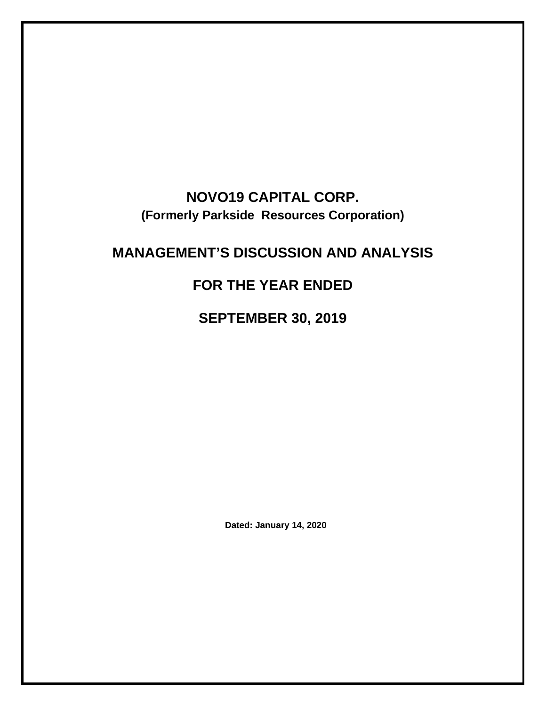# **NOVO19 CAPITAL CORP. (Formerly Parkside Resources Corporation)**

# **MANAGEMENT'S DISCUSSION AND ANALYSIS**

# **FOR THE YEAR ENDED**

**SEPTEMBER 30, 2019**

**Dated: January 14, 2020**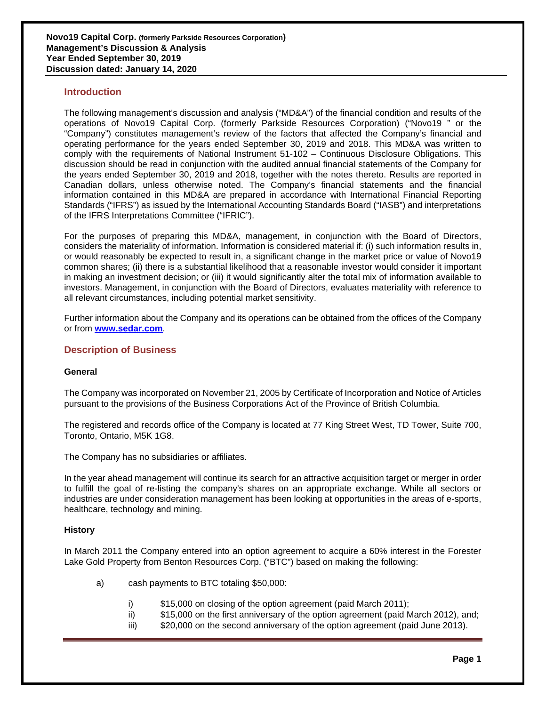## **Introduction**

The following management's discussion and analysis ("MD&A") of the financial condition and results of the operations of Novo19 Capital Corp. (formerly Parkside Resources Corporation) ("Novo19 " or the "Company") constitutes management's review of the factors that affected the Company's financial and operating performance for the years ended September 30, 2019 and 2018. This MD&A was written to comply with the requirements of National Instrument 51-102 – Continuous Disclosure Obligations. This discussion should be read in conjunction with the audited annual financial statements of the Company for the years ended September 30, 2019 and 2018, together with the notes thereto. Results are reported in Canadian dollars, unless otherwise noted. The Company's financial statements and the financial information contained in this MD&A are prepared in accordance with International Financial Reporting Standards ("IFRS") as issued by the International Accounting Standards Board ("IASB") and interpretations of the IFRS Interpretations Committee ("IFRIC").

For the purposes of preparing this MD&A, management, in conjunction with the Board of Directors, considers the materiality of information. Information is considered material if: (i) such information results in, or would reasonably be expected to result in, a significant change in the market price or value of Novo19 common shares; (ii) there is a substantial likelihood that a reasonable investor would consider it important in making an investment decision; or (iii) it would significantly alter the total mix of information available to investors. Management, in conjunction with the Board of Directors, evaluates materiality with reference to all relevant circumstances, including potential market sensitivity.

Further information about the Company and its operations can be obtained from the offices of the Company or from **[www.sedar.com](http://www.sedar.com/)**.

## **Description of Business**

#### **General**

The Company was incorporated on November 21, 2005 by Certificate of Incorporation and Notice of Articles pursuant to the provisions of the Business Corporations Act of the Province of British Columbia.

The registered and records office of the Company is located at 77 King Street West, TD Tower, Suite 700, Toronto, Ontario, M5K 1G8.

The Company has no subsidiaries or affiliates.

In the year ahead management will continue its search for an attractive acquisition target or merger in order to fulfill the goal of re-listing the company's shares on an appropriate exchange. While all sectors or industries are under consideration management has been looking at opportunities in the areas of e-sports, healthcare, technology and mining.

### **History**

In March 2011 the Company entered into an option agreement to acquire a 60% interest in the Forester Lake Gold Property from Benton Resources Corp. ("BTC") based on making the following:

- a) cash payments to BTC totaling \$50,000:
	- i) \$15,000 on closing of the option agreement (paid March 2011);
	- ii) \$15,000 on the first anniversary of the option agreement (paid March 2012), and;
	- iii) \$20,000 on the second anniversary of the option agreement (paid June 2013).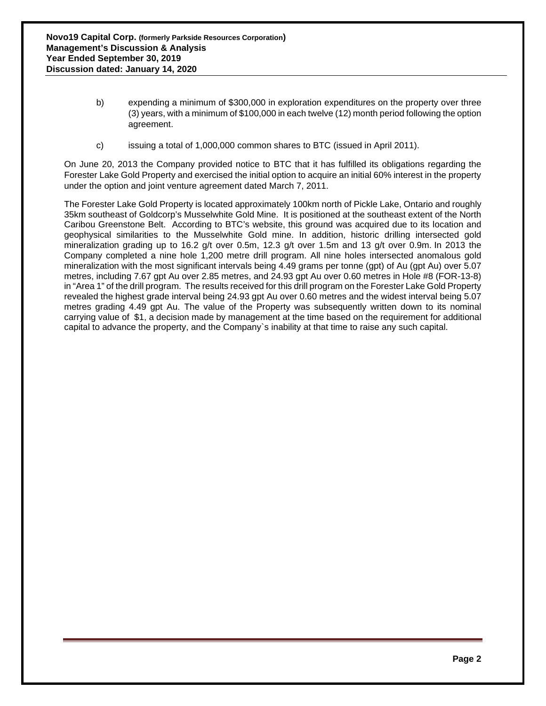- b) expending a minimum of \$300,000 in exploration expenditures on the property over three (3) years, with a minimum of \$100,000 in each twelve (12) month period following the option agreement.
- c) issuing a total of 1,000,000 common shares to BTC (issued in April 2011).

On June 20, 2013 the Company provided notice to BTC that it has fulfilled its obligations regarding the Forester Lake Gold Property and exercised the initial option to acquire an initial 60% interest in the property under the option and joint venture agreement dated March 7, 2011.

The Forester Lake Gold Property is located approximately 100km north of Pickle Lake, Ontario and roughly 35km southeast of Goldcorp's Musselwhite Gold Mine. It is positioned at the southeast extent of the North Caribou Greenstone Belt. According to BTC's website, this ground was acquired due to its location and geophysical similarities to the Musselwhite Gold mine. In addition, historic drilling intersected gold mineralization grading up to 16.2 g/t over 0.5m, 12.3 g/t over 1.5m and 13 g/t over 0.9m. In 2013 the Company completed a nine hole 1,200 metre drill program. All nine holes intersected anomalous gold mineralization with the most significant intervals being 4.49 grams per tonne (gpt) of Au (gpt Au) over 5.07 metres, including 7.67 gpt Au over 2.85 metres, and 24.93 gpt Au over 0.60 metres in Hole #8 (FOR-13-8) in "Area 1" of the drill program. The results received for this drill program on the Forester Lake Gold Property revealed the highest grade interval being 24.93 gpt Au over 0.60 metres and the widest interval being 5.07 metres grading 4.49 gpt Au. The value of the Property was subsequently written down to its nominal carrying value of \$1, a decision made by management at the time based on the requirement for additional capital to advance the property, and the Company`s inability at that time to raise any such capital.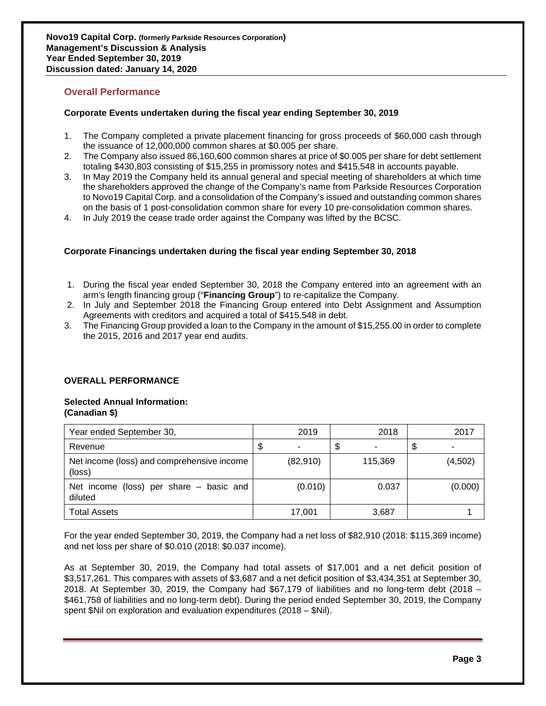## **Overall Performance**

## **Corporate Events undertaken during the fiscal year ending September 30, 2019**

- 1. The Company completed a private placement financing for gross proceeds of \$60,000 cash through the issuance of 12,000,000 common shares at \$0.005 per share.
- 2. The Company also issued 86,160,600 common shares at price of \$0.005 per share for debt settlement totaling \$430,803 consisting of \$15,255 in promissory notes and \$415,548 in accounts payable.
- 3. In May 2019 the Company held its annual general and special meeting of shareholders at which time the shareholders approved the change of the Company's name from Parkside Resources Corporation to Novo19 Capital Corp. and a consolidation of the Company's issued and outstanding common shares on the basis of 1 post-consolidation common share for every 10 pre-consolidation common shares.
- 4. In July 2019 the cease trade order against the Company was lifted by the BCSC.

### **Corporate Financings undertaken during the fiscal year ending September 30, 2018**

- 1. During the fiscal year ended September 30, 2018 the Company entered into an agreement with an arm's length financing group ("**Financing Group**") to re-capitalize the Company.
- 2. In July and September 2018 the Financing Group entered into Debt Assignment and Assumption Agreements with creditors and acquired a total of \$415,548 in debt.
- 3. The Financing Group provided a loan to the Company in the amount of \$15,255.00 in order to complete the 2015, 2016 and 2017 year end audits.

### **OVERALL PERFORMANCE**

#### **Selected Annual Information: (Canadian \$)**

| Year ended September 30,                             |   | 2019     | 2018    | 2017    |
|------------------------------------------------------|---|----------|---------|---------|
| Revenue                                              | Φ |          | \$      | \$      |
| Net income (loss) and comprehensive income<br>(loss) |   | (82,910) | 115,369 | (4,502) |
| Net income (loss) per share $-$ basic and<br>diluted |   | (0.010)  | 0.037   | (0.000) |
| <b>Total Assets</b>                                  |   | 17,001   | 3,687   |         |

For the year ended September 30, 2019, the Company had a net loss of \$82,910 (2018: \$115,369 income) and net loss per share of \$0.010 (2018: \$0.037 income).

As at September 30, 2019, the Company had total assets of \$17,001 and a net deficit position of \$3,517,261. This compares with assets of \$3,687 and a net deficit position of \$3,434,351 at September 30, 2018. At September 30, 2019, the Company had \$67,179 of liabilities and no long-term debt (2018 – \$461,758 of liabilities and no long-term debt). During the period ended September 30, 2019, the Company spent \$Nil on exploration and evaluation expenditures (2018 – \$Nil).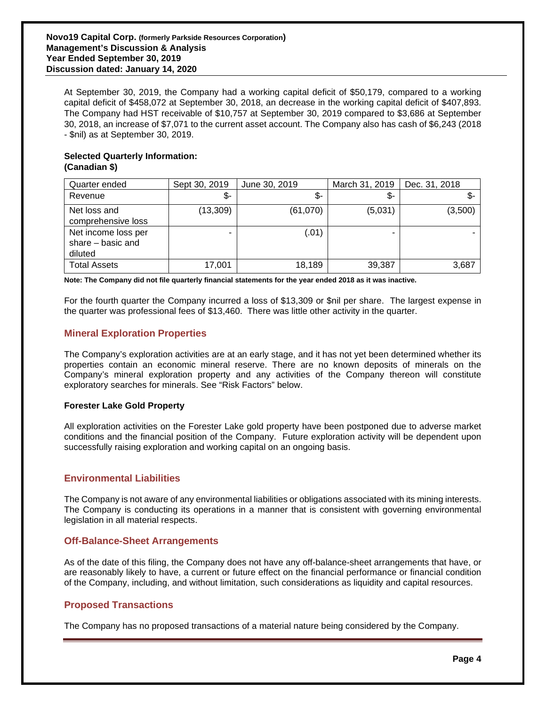At September 30, 2019, the Company had a working capital deficit of \$50,179, compared to a working capital deficit of \$458,072 at September 30, 2018, an decrease in the working capital deficit of \$407,893. The Company had HST receivable of \$10,757 at September 30, 2019 compared to \$3,686 at September 30, 2018, an increase of \$7,071 to the current asset account. The Company also has cash of \$6,243 (2018 - \$nil) as at September 30, 2019.

## **Selected Quarterly Information: (Canadian \$)**

| Quarter ended                                         | Sept 30, 2019 | June 30, 2019 | March 31, 2019 | Dec. 31, 2018 |
|-------------------------------------------------------|---------------|---------------|----------------|---------------|
| Revenue                                               | \$-           | \$-           | \$-            | \$-           |
| Net loss and<br>comprehensive loss                    | (13, 309)     | (61,070)      | (5,031)        | (3,500)       |
| Net income loss per<br>share $-$ basic and<br>diluted |               | (.01          | -              |               |
| <b>Total Assets</b>                                   | 17,001        | 18,189        | 39,387         | 3,687         |

**Note: The Company did not file quarterly financial statements for the year ended 2018 as it was inactive.**

For the fourth quarter the Company incurred a loss of \$13,309 or \$nil per share. The largest expense in the quarter was professional fees of \$13,460. There was little other activity in the quarter.

## **Mineral Exploration Properties**

The Company's exploration activities are at an early stage, and it has not yet been determined whether its properties contain an economic mineral reserve. There are no known deposits of minerals on the Company's mineral exploration property and any activities of the Company thereon will constitute exploratory searches for minerals. See "Risk Factors" below.

### **Forester Lake Gold Property**

All exploration activities on the Forester Lake gold property have been postponed due to adverse market conditions and the financial position of the Company. Future exploration activity will be dependent upon successfully raising exploration and working capital on an ongoing basis.

## **Environmental Liabilities**

The Company is not aware of any environmental liabilities or obligations associated with its mining interests. The Company is conducting its operations in a manner that is consistent with governing environmental legislation in all material respects.

## **Off-Balance-Sheet Arrangements**

As of the date of this filing, the Company does not have any off-balance-sheet arrangements that have, or are reasonably likely to have, a current or future effect on the financial performance or financial condition of the Company, including, and without limitation, such considerations as liquidity and capital resources.

## **Proposed Transactions**

The Company has no proposed transactions of a material nature being considered by the Company.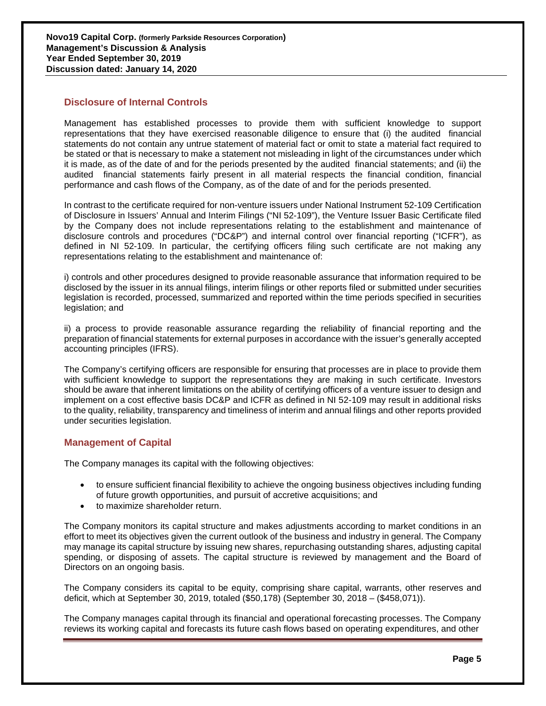## **Disclosure of Internal Controls**

Management has established processes to provide them with sufficient knowledge to support representations that they have exercised reasonable diligence to ensure that (i) the audited financial statements do not contain any untrue statement of material fact or omit to state a material fact required to be stated or that is necessary to make a statement not misleading in light of the circumstances under which it is made, as of the date of and for the periods presented by the audited financial statements; and (ii) the audited financial statements fairly present in all material respects the financial condition, financial performance and cash flows of the Company, as of the date of and for the periods presented.

In contrast to the certificate required for non-venture issuers under National Instrument 52-109 Certification of Disclosure in Issuers' Annual and Interim Filings ("NI 52-109"), the Venture Issuer Basic Certificate filed by the Company does not include representations relating to the establishment and maintenance of disclosure controls and procedures ("DC&P") and internal control over financial reporting ("ICFR"), as defined in NI 52-109. In particular, the certifying officers filing such certificate are not making any representations relating to the establishment and maintenance of:

i) controls and other procedures designed to provide reasonable assurance that information required to be disclosed by the issuer in its annual filings, interim filings or other reports filed or submitted under securities legislation is recorded, processed, summarized and reported within the time periods specified in securities legislation; and

ii) a process to provide reasonable assurance regarding the reliability of financial reporting and the preparation of financial statements for external purposes in accordance with the issuer's generally accepted accounting principles (IFRS).

The Company's certifying officers are responsible for ensuring that processes are in place to provide them with sufficient knowledge to support the representations they are making in such certificate. Investors should be aware that inherent limitations on the ability of certifying officers of a venture issuer to design and implement on a cost effective basis DC&P and ICFR as defined in NI 52-109 may result in additional risks to the quality, reliability, transparency and timeliness of interim and annual filings and other reports provided under securities legislation.

## **Management of Capital**

The Company manages its capital with the following objectives:

- to ensure sufficient financial flexibility to achieve the ongoing business objectives including funding of future growth opportunities, and pursuit of accretive acquisitions; and
- to maximize shareholder return.

The Company monitors its capital structure and makes adjustments according to market conditions in an effort to meet its objectives given the current outlook of the business and industry in general. The Company may manage its capital structure by issuing new shares, repurchasing outstanding shares, adjusting capital spending, or disposing of assets. The capital structure is reviewed by management and the Board of Directors on an ongoing basis.

The Company considers its capital to be equity, comprising share capital, warrants, other reserves and deficit, which at September 30, 2019, totaled (\$50,178) (September 30, 2018 – (\$458,071)).

The Company manages capital through its financial and operational forecasting processes. The Company reviews its working capital and forecasts its future cash flows based on operating expenditures, and other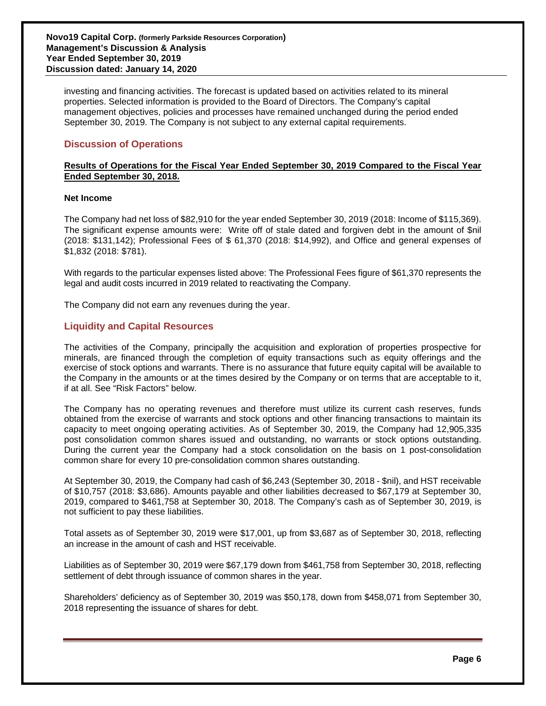investing and financing activities. The forecast is updated based on activities related to its mineral properties. Selected information is provided to the Board of Directors. The Company's capital management objectives, policies and processes have remained unchanged during the period ended September 30, 2019. The Company is not subject to any external capital requirements.

## **Discussion of Operations**

## **Results of Operations for the Fiscal Year Ended September 30, 2019 Compared to the Fiscal Year Ended September 30, 2018.**

### **Net Income**

The Company had net loss of \$82,910 for the year ended September 30, 2019 (2018: Income of \$115,369). The significant expense amounts were: Write off of stale dated and forgiven debt in the amount of \$nil (2018: \$131,142); Professional Fees of \$ 61,370 (2018: \$14,992), and Office and general expenses of \$1,832 (2018: \$781).

With regards to the particular expenses listed above: The Professional Fees figure of \$61,370 represents the legal and audit costs incurred in 2019 related to reactivating the Company.

The Company did not earn any revenues during the year.

## **Liquidity and Capital Resources**

The activities of the Company, principally the acquisition and exploration of properties prospective for minerals, are financed through the completion of equity transactions such as equity offerings and the exercise of stock options and warrants. There is no assurance that future equity capital will be available to the Company in the amounts or at the times desired by the Company or on terms that are acceptable to it, if at all. See "Risk Factors" below.

The Company has no operating revenues and therefore must utilize its current cash reserves, funds obtained from the exercise of warrants and stock options and other financing transactions to maintain its capacity to meet ongoing operating activities. As of September 30, 2019, the Company had 12,905,335 post consolidation common shares issued and outstanding, no warrants or stock options outstanding. During the current year the Company had a stock consolidation on the basis on 1 post-consolidation common share for every 10 pre-consolidation common shares outstanding.

At September 30, 2019, the Company had cash of \$6,243 (September 30, 2018 - \$nil), and HST receivable of \$10,757 (2018: \$3,686). Amounts payable and other liabilities decreased to \$67,179 at September 30, 2019, compared to \$461,758 at September 30, 2018. The Company's cash as of September 30, 2019, is not sufficient to pay these liabilities.

Total assets as of September 30, 2019 were \$17,001, up from \$3,687 as of September 30, 2018, reflecting an increase in the amount of cash and HST receivable.

Liabilities as of September 30, 2019 were \$67,179 down from \$461,758 from September 30, 2018, reflecting settlement of debt through issuance of common shares in the year.

Shareholders' deficiency as of September 30, 2019 was \$50,178, down from \$458,071 from September 30, 2018 representing the issuance of shares for debt.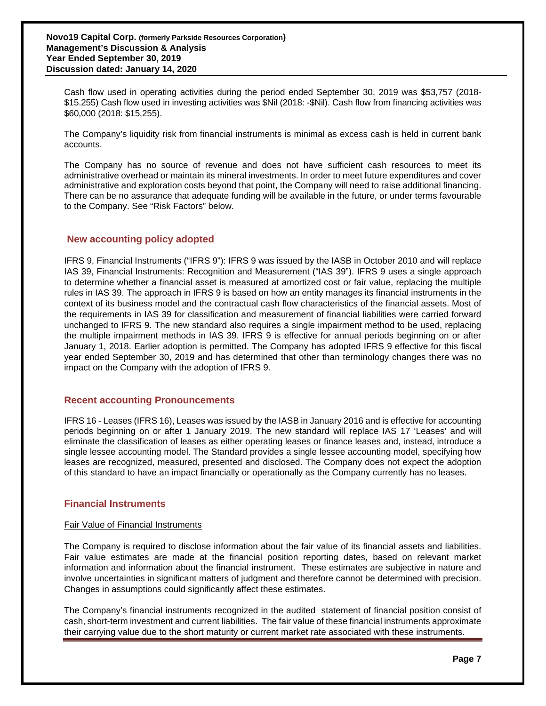Cash flow used in operating activities during the period ended September 30, 2019 was \$53,757 (2018- \$15.255) Cash flow used in investing activities was \$Nil (2018: -\$Nil). Cash flow from financing activities was \$60,000 (2018: \$15,255).

The Company's liquidity risk from financial instruments is minimal as excess cash is held in current bank accounts.

The Company has no source of revenue and does not have sufficient cash resources to meet its administrative overhead or maintain its mineral investments. In order to meet future expenditures and cover administrative and exploration costs beyond that point, the Company will need to raise additional financing. There can be no assurance that adequate funding will be available in the future, or under terms favourable to the Company. See "Risk Factors" below.

## **New accounting policy adopted**

IFRS 9, Financial Instruments ("IFRS 9"): IFRS 9 was issued by the IASB in October 2010 and will replace IAS 39, Financial Instruments: Recognition and Measurement ("IAS 39"). IFRS 9 uses a single approach to determine whether a financial asset is measured at amortized cost or fair value, replacing the multiple rules in IAS 39. The approach in IFRS 9 is based on how an entity manages its financial instruments in the context of its business model and the contractual cash flow characteristics of the financial assets. Most of the requirements in IAS 39 for classification and measurement of financial liabilities were carried forward unchanged to IFRS 9. The new standard also requires a single impairment method to be used, replacing the multiple impairment methods in IAS 39. IFRS 9 is effective for annual periods beginning on or after January 1, 2018. Earlier adoption is permitted. The Company has adopted IFRS 9 effective for this fiscal year ended September 30, 2019 and has determined that other than terminology changes there was no impact on the Company with the adoption of IFRS 9.

### **Recent accounting Pronouncements**

IFRS 16 - Leases (IFRS 16), Leases was issued by the IASB in January 2016 and is effective for accounting periods beginning on or after 1 January 2019. The new standard will replace IAS 17 'Leases' and will eliminate the classification of leases as either operating leases or finance leases and, instead, introduce a single lessee accounting model. The Standard provides a single lessee accounting model, specifying how leases are recognized, measured, presented and disclosed. The Company does not expect the adoption of this standard to have an impact financially or operationally as the Company currently has no leases.

## **Financial Instruments**

### Fair Value of Financial Instruments

The Company is required to disclose information about the fair value of its financial assets and liabilities. Fair value estimates are made at the financial position reporting dates, based on relevant market information and information about the financial instrument. These estimates are subjective in nature and involve uncertainties in significant matters of judgment and therefore cannot be determined with precision. Changes in assumptions could significantly affect these estimates.

The Company's financial instruments recognized in the audited statement of financial position consist of cash, short-term investment and current liabilities. The fair value of these financial instruments approximate their carrying value due to the short maturity or current market rate associated with these instruments.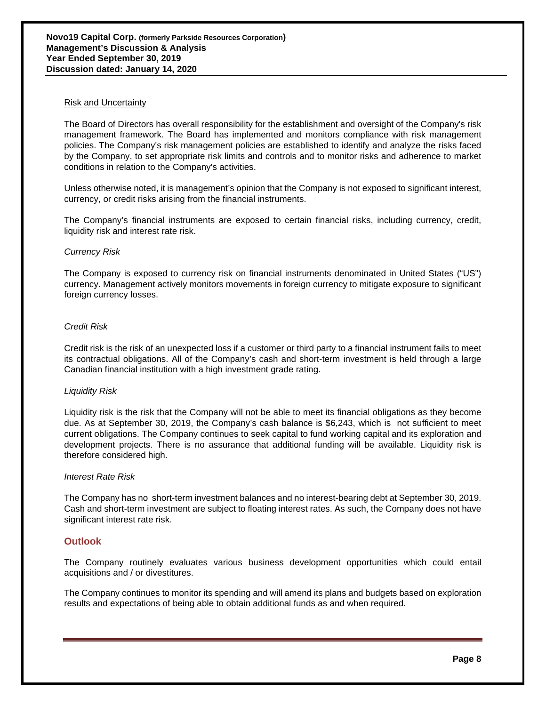#### Risk and Uncertainty

The Board of Directors has overall responsibility for the establishment and oversight of the Company's risk management framework. The Board has implemented and monitors compliance with risk management policies. The Company's risk management policies are established to identify and analyze the risks faced by the Company, to set appropriate risk limits and controls and to monitor risks and adherence to market conditions in relation to the Company's activities.

Unless otherwise noted, it is management's opinion that the Company is not exposed to significant interest, currency, or credit risks arising from the financial instruments.

The Company's financial instruments are exposed to certain financial risks, including currency, credit, liquidity risk and interest rate risk.

#### *Currency Risk*

The Company is exposed to currency risk on financial instruments denominated in United States ("US") currency. Management actively monitors movements in foreign currency to mitigate exposure to significant foreign currency losses.

#### *Credit Risk*

Credit risk is the risk of an unexpected loss if a customer or third party to a financial instrument fails to meet its contractual obligations. All of the Company's cash and short-term investment is held through a large Canadian financial institution with a high investment grade rating.

#### *Liquidity Risk*

Liquidity risk is the risk that the Company will not be able to meet its financial obligations as they become due. As at September 30, 2019, the Company's cash balance is \$6,243, which is not sufficient to meet current obligations. The Company continues to seek capital to fund working capital and its exploration and development projects. There is no assurance that additional funding will be available. Liquidity risk is therefore considered high.

#### *Interest Rate Risk*

The Company has no short-term investment balances and no interest-bearing debt at September 30, 2019. Cash and short-term investment are subject to floating interest rates. As such, the Company does not have significant interest rate risk.

### **Outlook**

The Company routinely evaluates various business development opportunities which could entail acquisitions and / or divestitures.

The Company continues to monitor its spending and will amend its plans and budgets based on exploration results and expectations of being able to obtain additional funds as and when required.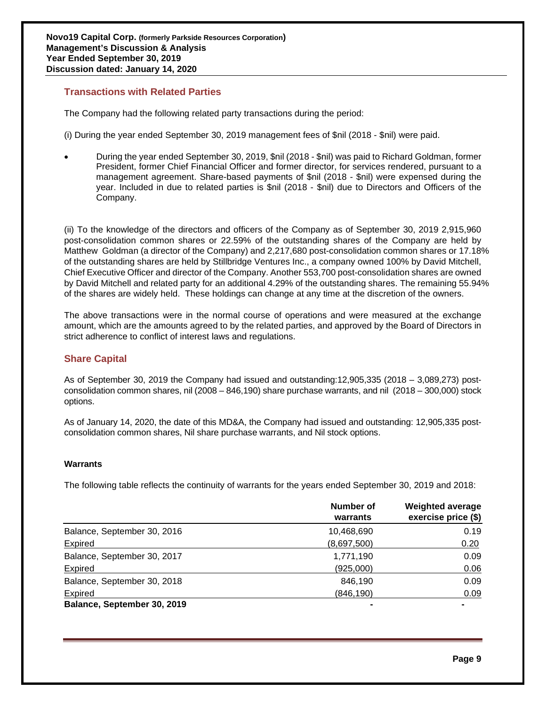## **Transactions with Related Parties**

The Company had the following related party transactions during the period:

(i) During the year ended September 30, 2019 management fees of \$nil (2018 - \$nil) were paid.

• During the year ended September 30, 2019, \$nil (2018 - \$nil) was paid to Richard Goldman, former President, former Chief Financial Officer and former director, for services rendered, pursuant to a management agreement. Share-based payments of \$nil (2018 - \$nil) were expensed during the year. Included in due to related parties is \$nil (2018 - \$nil) due to Directors and Officers of the Company.

(ii) To the knowledge of the directors and officers of the Company as of September 30, 2019 2,915,960 post-consolidation common shares or 22.59% of the outstanding shares of the Company are held by Matthew Goldman (a director of the Company) and 2,217,680 post-consolidation common shares or 17.18% of the outstanding shares are held by Stillbridge Ventures Inc., a company owned 100% by David Mitchell, Chief Executive Officer and director of the Company. Another 553,700 post-consolidation shares are owned by David Mitchell and related party for an additional 4.29% of the outstanding shares. The remaining 55.94% of the shares are widely held. These holdings can change at any time at the discretion of the owners.

The above transactions were in the normal course of operations and were measured at the exchange amount, which are the amounts agreed to by the related parties, and approved by the Board of Directors in strict adherence to conflict of interest laws and regulations.

## **Share Capital**

As of September 30, 2019 the Company had issued and outstanding:12,905,335 (2018 – 3,089,273) postconsolidation common shares, nil (2008 – 846,190) share purchase warrants, and nil (2018 – 300,000) stock options.

As of January 14, 2020, the date of this MD&A, the Company had issued and outstanding: 12,905,335 postconsolidation common shares, Nil share purchase warrants, and Nil stock options.

### **Warrants**

The following table reflects the continuity of warrants for the years ended September 30, 2019 and 2018:

|                             | <b>Number of</b><br>warrants | <b>Weighted average</b><br>exercise price (\$) |
|-----------------------------|------------------------------|------------------------------------------------|
| Balance, September 30, 2016 | 10,468,690                   | 0.19                                           |
| Expired                     | (8,697,500)                  | 0.20                                           |
| Balance, September 30, 2017 | 1,771,190                    | 0.09                                           |
| Expired                     | (925,000)                    | 0.06                                           |
| Balance, September 30, 2018 | 846,190                      | 0.09                                           |
| Expired                     | (846, 190)                   | 0.09                                           |
| Balance, September 30, 2019 |                              |                                                |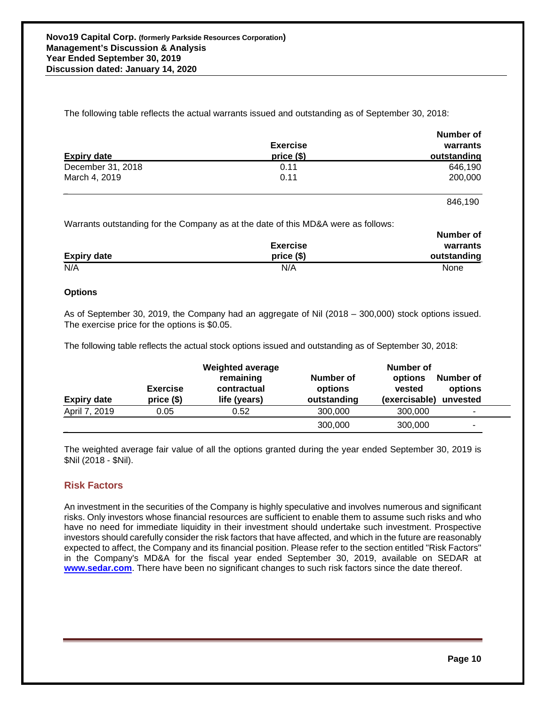The following table reflects the actual warrants issued and outstanding as of September 30, 2018:

|                    |                 | INUIIINGI UI |
|--------------------|-----------------|--------------|
|                    | <b>Exercise</b> | warrants     |
| <b>Expiry date</b> | price $($)$     | outstanding  |
| December 31, 2018  | 0.11            | 646.190      |
| March 4, 2019      | 0.11            | 200,000      |

846,190

**Number of**

Warrants outstanding for the Company as at the date of this MD&A were as follows:

|                    |                 | <b>Number of</b> |
|--------------------|-----------------|------------------|
|                    | <b>Exercise</b> | warrants         |
| <b>Expiry date</b> | price $(§)$     | outstanding      |
| N/A                | N/A             | None             |

### **Options**

**\_\_**

As of September 30, 2019, the Company had an aggregate of Nil (2018 – 300,000) stock options issued. The exercise price for the options is \$0.05.

The following table reflects the actual stock options issued and outstanding as of September 30, 2018:

|                    |                               | <b>Weighted average</b>                  | Number of                           |                                    |                                  |  |
|--------------------|-------------------------------|------------------------------------------|-------------------------------------|------------------------------------|----------------------------------|--|
| <b>Expiry date</b> | <b>Exercise</b><br>$price($)$ | remaining<br>contractual<br>life (years) | Number of<br>options<br>outstanding | options<br>vested<br>(exercisable) | Number of<br>options<br>unvested |  |
| April 7, 2019      | 0.05                          | 0.52                                     | 300,000                             | 300,000                            | ۰                                |  |
|                    |                               |                                          | 300,000                             | 300,000                            | ۰                                |  |

The weighted average fair value of all the options granted during the year ended September 30, 2019 is \$Nil (2018 - \$Nil).

## **Risk Factors**

An investment in the securities of the Company is highly speculative and involves numerous and significant risks. Only investors whose financial resources are sufficient to enable them to assume such risks and who have no need for immediate liquidity in their investment should undertake such investment. Prospective investors should carefully consider the risk factors that have affected, and which in the future are reasonably expected to affect, the Company and its financial position. Please refer to the section entitled "Risk Factors" in the Company's MD&A for the fiscal year ended September 30, 2019, available on SEDAR at **[www.sedar.com](http://www.sedar.com/)**. There have been no significant changes to such risk factors since the date thereof.